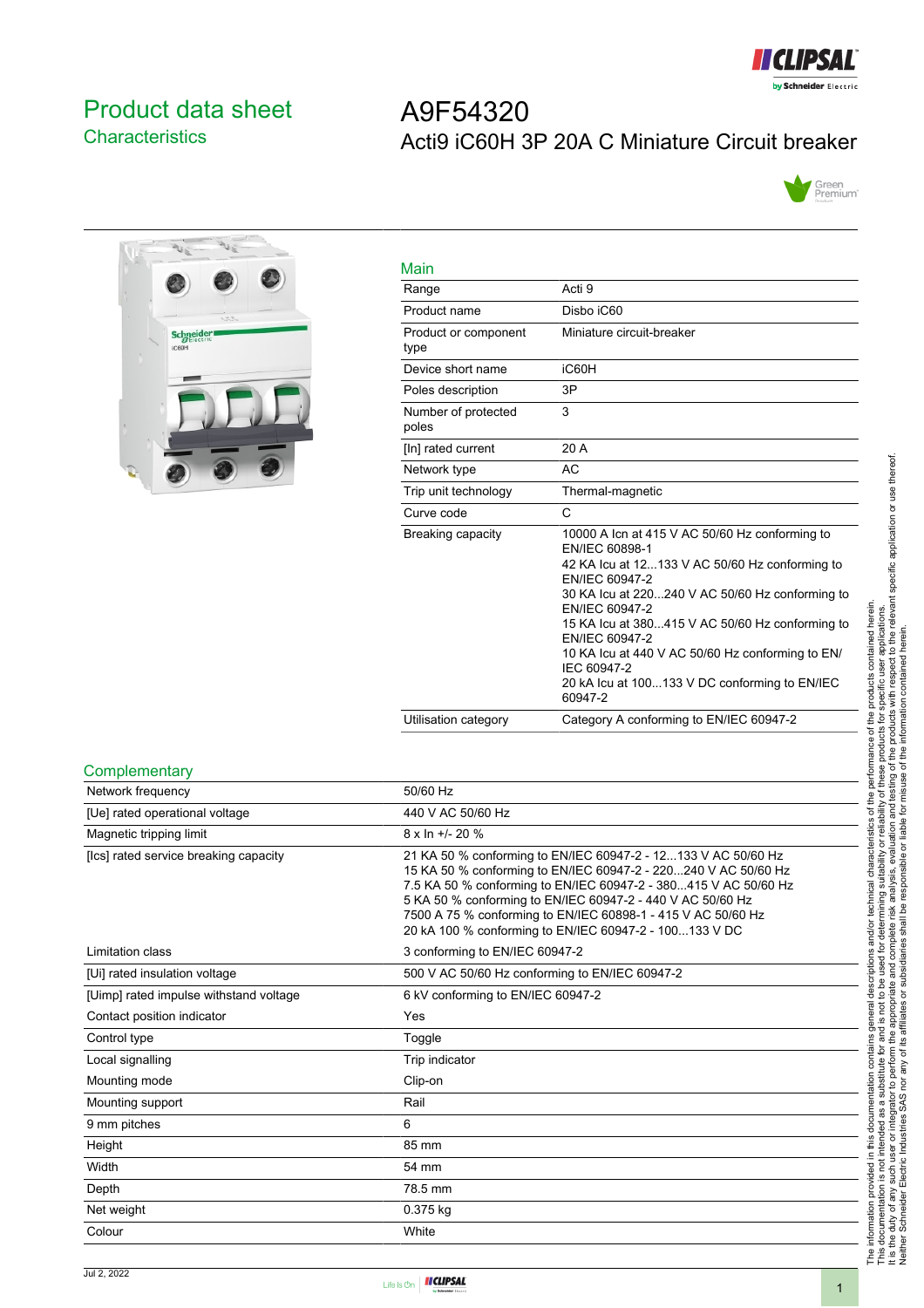

# <span id="page-0-0"></span>Product data sheet **Characteristics**

# A9F54320 Acti9 iC60H 3P 20A C Miniature Circuit breaker





| Main                         |                                                                                                                                                                                                                                                                                                                                                                                                               |
|------------------------------|---------------------------------------------------------------------------------------------------------------------------------------------------------------------------------------------------------------------------------------------------------------------------------------------------------------------------------------------------------------------------------------------------------------|
| Range                        | Acti 9                                                                                                                                                                                                                                                                                                                                                                                                        |
| Product name                 | Disho iC60                                                                                                                                                                                                                                                                                                                                                                                                    |
| Product or component<br>type | Miniature circuit-breaker                                                                                                                                                                                                                                                                                                                                                                                     |
| Device short name            | iC60H                                                                                                                                                                                                                                                                                                                                                                                                         |
| Poles description            | 3P                                                                                                                                                                                                                                                                                                                                                                                                            |
| Number of protected<br>poles | 3                                                                                                                                                                                                                                                                                                                                                                                                             |
| [In] rated current           | 20 A                                                                                                                                                                                                                                                                                                                                                                                                          |
| Network type                 | AC                                                                                                                                                                                                                                                                                                                                                                                                            |
| Trip unit technology         | Thermal-magnetic                                                                                                                                                                                                                                                                                                                                                                                              |
| Curve code                   | C                                                                                                                                                                                                                                                                                                                                                                                                             |
| Breaking capacity            | 10000 A Icn at 415 V AC 50/60 Hz conforming to<br>EN/IEC 60898-1<br>42 KA Icu at 12133 V AC 50/60 Hz conforming to<br>EN/IEC 60947-2<br>30 KA lcu at 220240 V AC 50/60 Hz conforming to<br>EN/IEC 60947-2<br>15 KA lcu at 380415 V AC 50/60 Hz conforming to<br>EN/IEC 60947-2<br>10 KA lcu at 440 V AC 50/60 Hz conforming to EN/<br>IEC 60947-2<br>20 kA lcu at 100133 V DC conforming to EN/IEC<br>60947-2 |
| Utilisation category         | Category A conforming to EN/IEC 60947-2                                                                                                                                                                                                                                                                                                                                                                       |

#### **Complementary**

| Network frequency                      | 50/60 Hz                                                                                                                                                                                                                                                                                                                                                                                   |
|----------------------------------------|--------------------------------------------------------------------------------------------------------------------------------------------------------------------------------------------------------------------------------------------------------------------------------------------------------------------------------------------------------------------------------------------|
| [Ue] rated operational voltage         | 440 V AC 50/60 Hz                                                                                                                                                                                                                                                                                                                                                                          |
| Magnetic tripping limit                | $8 \times \ln +1$ - 20 %                                                                                                                                                                                                                                                                                                                                                                   |
| [Ics] rated service breaking capacity  | 21 KA 50 % conforming to EN/IEC 60947-2 - 12133 V AC 50/60 Hz<br>15 KA 50 % conforming to EN/IEC 60947-2 - 220240 V AC 50/60 Hz<br>7.5 KA 50 % conforming to EN/IEC 60947-2 - 380415 V AC 50/60 Hz<br>5 KA 50 % conforming to EN/IEC 60947-2 - 440 V AC 50/60 Hz<br>7500 A 75 % conforming to EN/IEC 60898-1 - 415 V AC 50/60 Hz<br>20 kA 100 % conforming to EN/IEC 60947-2 - 100133 V DC |
| Limitation class                       | 3 conforming to EN/IEC 60947-2                                                                                                                                                                                                                                                                                                                                                             |
| [Ui] rated insulation voltage          | 500 V AC 50/60 Hz conforming to EN/IEC 60947-2                                                                                                                                                                                                                                                                                                                                             |
| [Uimp] rated impulse withstand voltage | 6 kV conforming to EN/IEC 60947-2                                                                                                                                                                                                                                                                                                                                                          |
| Contact position indicator             | Yes                                                                                                                                                                                                                                                                                                                                                                                        |
| Control type                           | Toggle                                                                                                                                                                                                                                                                                                                                                                                     |
| Local signalling                       | Trip indicator                                                                                                                                                                                                                                                                                                                                                                             |
| Mounting mode                          | Clip-on                                                                                                                                                                                                                                                                                                                                                                                    |
| Mounting support                       | Rail                                                                                                                                                                                                                                                                                                                                                                                       |
| 9 mm pitches                           | 6                                                                                                                                                                                                                                                                                                                                                                                          |
| Height                                 | 85 mm                                                                                                                                                                                                                                                                                                                                                                                      |
| Width                                  | 54 mm                                                                                                                                                                                                                                                                                                                                                                                      |
| Depth                                  | 78.5 mm                                                                                                                                                                                                                                                                                                                                                                                    |
| Net weight                             | 0.375 kg                                                                                                                                                                                                                                                                                                                                                                                   |
| Colour                                 | White                                                                                                                                                                                                                                                                                                                                                                                      |